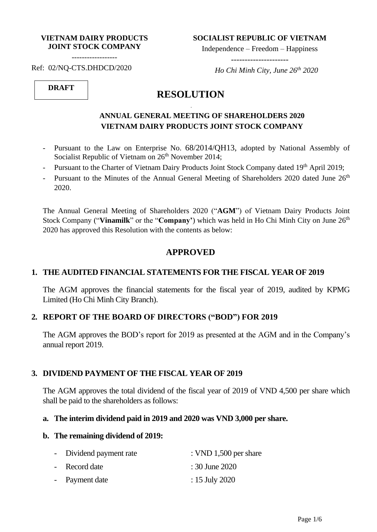#### **VIETNAM DAIRY PRODUCTS JOINT STOCK COMPANY**

------------------

**SOCIALIST REPUBLIC OF VIETNAM**

Independence – Freedom – Happiness

---------------------

Ref: 02/NQ-CTS.DHDCD/2020

 *Ho Chi Minh City, June 26 th 2020*

# **DRAFT**

# **RESOLUTION**

-

## **ANNUAL GENERAL MEETING OF SHAREHOLDERS 2020 VIETNAM DAIRY PRODUCTS JOINT STOCK COMPANY**

- Pursuant to the Law on Enterprise No. 68/2014/QH13, adopted by National Assembly of Socialist Republic of Vietnam on 26<sup>th</sup> November 2014;
- Pursuant to the Charter of Vietnam Dairy Products Joint Stock Company dated 19<sup>th</sup> April 2019;
- Pursuant to the Minutes of the Annual General Meeting of Shareholders 2020 dated June 26<sup>th</sup> 2020.

The Annual General Meeting of Shareholders 2020 ("**AGM**") of Vietnam Dairy Products Joint Stock Company ("Vinamilk" or the "Company") which was held in Ho Chi Minh City on June 26<sup>th</sup> 2020 has approved this Resolution with the contents as below:

## **APPROVED**

### **1. THE AUDITED FINANCIAL STATEMENTS FOR THE FISCAL YEAR OF 2019**

The AGM approves the financial statements for the fiscal year of 2019, audited by KPMG Limited (Ho Chi Minh City Branch).

### **2. REPORT OF THE BOARD OF DIRECTORS ("BOD") FOR 2019**

The AGM approves the BOD's report for 2019 as presented at the AGM and in the Company's annual report 2019.

#### **3. DIVIDEND PAYMENT OF THE FISCAL YEAR OF 2019**

The AGM approves the total dividend of the fiscal year of 2019 of VND 4,500 per share which shall be paid to the shareholders as follows:

#### **a. The interim dividend paid in 2019 and 2020 was VND 3,000 per share.**

#### **b. The remaining dividend of 2019:**

| - Dividend payment rate | : VND $1,500$ per share |
|-------------------------|-------------------------|
| - Record date           | : 30 June 2020          |
| - Payment date          | : 15 July 2020          |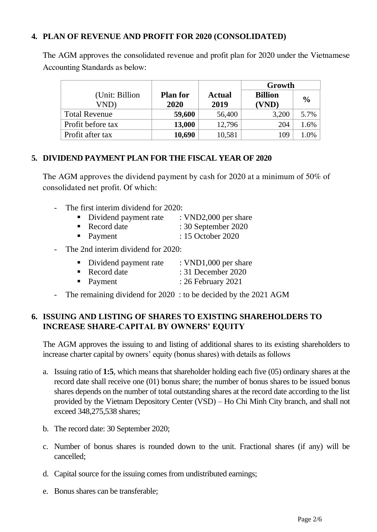## **4. PLAN OF REVENUE AND PROFIT FOR 2020 (CONSOLIDATED)**

The AGM approves the consolidated revenue and profit plan for 2020 under the Vietnamese Accounting Standards as below:

|                      |                         | Growth        |                |               |
|----------------------|-------------------------|---------------|----------------|---------------|
| (Unit: Billion)      | <b>Plan for</b><br>2020 | <b>Actual</b> | <b>Billion</b> | $\frac{0}{0}$ |
| VND)                 |                         | 2019          | (VND)          |               |
| <b>Total Revenue</b> | 59,600                  | 56,400        | 3,200          | 5.7%          |
| Profit before tax    | 13,000                  | 12,796        | 204            | 1.6%          |
| Profit after tax     | 10,690                  | 10,581        | 109            | 1.0%          |

## **5. DIVIDEND PAYMENT PLAN FOR THE FISCAL YEAR OF 2020**

The AGM approves the dividend payment by cash for 2020 at a minimum of 50% of consolidated net profit. Of which:

- The first interim dividend for 2020:
	- Dividend payment rate : VND2,000 per share
	- Record date : 30 September 2020
	- Payment : 15 October 2020
- The 2nd interim dividend for 2020:
	- Dividend payment rate : VND1,000 per share
	- Record date : 31 December 2020
	- Payment : 26 February 2021
- The remaining dividend for 2020 : to be decided by the 2021 AGM

## **6. ISSUING AND LISTING OF SHARES TO EXISTING SHAREHOLDERS TO INCREASE SHARE-CAPITAL BY OWNERS' EQUITY**

The AGM approves the issuing to and listing of additional shares to its existing shareholders to increase charter capital by owners' equity (bonus shares) with details as follows

- a. Issuing ratio of **1:5**, which means that shareholder holding each five (05) ordinary shares at the record date shall receive one (01) bonus share; the number of bonus shares to be issued bonus shares depends on the number of total outstanding shares at the record date according to the list provided by the Vietnam Depository Center (VSD) – Ho Chi Minh City branch, and shall not exceed 348,275,538 shares;
- b. The record date: 30 September 2020;
- c. Number of bonus shares is rounded down to the unit. Fractional shares (if any) will be cancelled;
- d. Capital source for the issuing comes from undistributed earnings;
- e. Bonus shares can be transferable;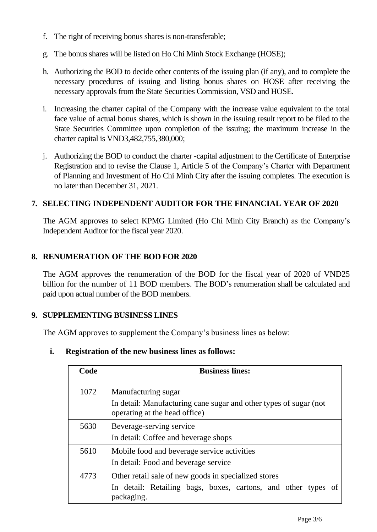- f. The right of receiving bonus shares is non-transferable;
- g. The bonus shares will be listed on Ho Chi Minh Stock Exchange (HOSE);
- h. Authorizing the BOD to decide other contents of the issuing plan (if any), and to complete the necessary procedures of issuing and listing bonus shares on HOSE after receiving the necessary approvals from the State Securities Commission, VSD and HOSE.
- i. Increasing the charter capital of the Company with the increase value equivalent to the total face value of actual bonus shares, which is shown in the issuing result report to be filed to the State Securities Committee upon completion of the issuing; the maximum increase in the charter capital is VND3,482,755,380,000;
- j. Authorizing the BOD to conduct the charter -capital adjustment to the Certificate of Enterprise Registration and to revise the Clause 1, Article 5 of the Company's Charter with Department of Planning and Investment of Ho Chi Minh City after the issuing completes. The execution is no later than December 31, 2021.

## **7. SELECTING INDEPENDENT AUDITOR FOR THE FINANCIAL YEAR OF 2020**

The AGM approves to select KPMG Limited (Ho Chi Minh City Branch) as the Company's Independent Auditor for the fiscal year 2020.

## **8. RENUMERATION OF THE BOD FOR 2020**

The AGM approves the renumeration of the BOD for the fiscal year of 2020 of VND25 billion for the number of 11 BOD members. The BOD's renumeration shall be calculated and paid upon actual number of the BOD members.

### **9. SUPPLEMENTING BUSINESS LINES**

The AGM approves to supplement the Company's business lines as below:

## **i. Registration of the new business lines as follows:**

| Code | <b>Business lines:</b>                                                                                                              |  |
|------|-------------------------------------------------------------------------------------------------------------------------------------|--|
| 1072 | Manufacturing sugar<br>In detail: Manufacturing cane sugar and other types of sugar (not<br>operating at the head office)           |  |
| 5630 | Beverage-serving service<br>In detail: Coffee and beverage shops                                                                    |  |
| 5610 | Mobile food and beverage service activities<br>In detail: Food and beverage service                                                 |  |
| 4773 | Other retail sale of new goods in specialized stores<br>In detail: Retailing bags, boxes, cartons, and other types of<br>packaging. |  |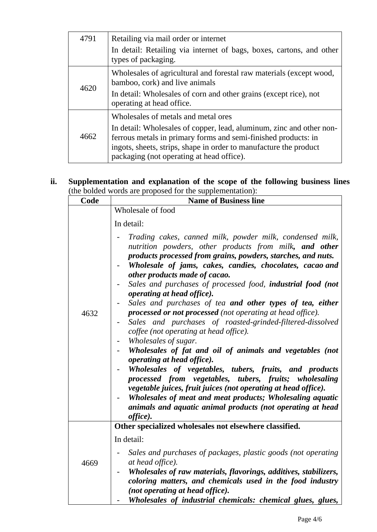| 4791 | Retailing via mail order or internet                                                                                                                                                                                                                     |  |
|------|----------------------------------------------------------------------------------------------------------------------------------------------------------------------------------------------------------------------------------------------------------|--|
|      | In detail: Retailing via internet of bags, boxes, cartons, and other<br>types of packaging.                                                                                                                                                              |  |
| 4620 | Wholesales of agricultural and forestal raw materials (except wood,<br>bamboo, cork) and live animals                                                                                                                                                    |  |
|      | In detail: Wholesales of corn and other grains (except rice), not<br>operating at head office.                                                                                                                                                           |  |
|      | Wholesales of metals and metal ores                                                                                                                                                                                                                      |  |
| 4662 | In detail: Wholesales of copper, lead, aluminum, zinc and other non-<br>ferrous metals in primary forms and semi-finished products: in<br>ingots, sheets, strips, shape in order to manufacture the product<br>packaging (not operating at head office). |  |

## **ii. Supplementation and explanation of the scope of the following business lines** (the bolded words are proposed for the supplementation):

| Code | <b>Name of Business line</b>                                                                                                                                                                                                                                                                                                                                                                                                                                                                                                                                                                                                                                                                                                                                                                                                                                                                                                                                                                                                                                                         |
|------|--------------------------------------------------------------------------------------------------------------------------------------------------------------------------------------------------------------------------------------------------------------------------------------------------------------------------------------------------------------------------------------------------------------------------------------------------------------------------------------------------------------------------------------------------------------------------------------------------------------------------------------------------------------------------------------------------------------------------------------------------------------------------------------------------------------------------------------------------------------------------------------------------------------------------------------------------------------------------------------------------------------------------------------------------------------------------------------|
|      | Wholesale of food                                                                                                                                                                                                                                                                                                                                                                                                                                                                                                                                                                                                                                                                                                                                                                                                                                                                                                                                                                                                                                                                    |
|      | In detail:                                                                                                                                                                                                                                                                                                                                                                                                                                                                                                                                                                                                                                                                                                                                                                                                                                                                                                                                                                                                                                                                           |
| 4632 | Trading cakes, canned milk, powder milk, condensed milk,<br>nutrition powders, other products from milk, and other<br>products processed from grains, powders, starches, and nuts.<br>Wholesale of jams, cakes, candies, chocolates, cacao and<br>other products made of cacao.<br>Sales and purchases of processed food, <b>industrial food</b> (not<br><i>operating at head office</i> ).<br>Sales and purchases of tea and other types of tea, either<br>processed or not processed (not operating at head office).<br>Sales and purchases of roasted-grinded-filtered-dissolved<br>coffee (not operating at head office).<br>Wholesales of sugar.<br>Wholesales of fat and oil of animals and vegetables (not<br><i>operating at head office</i> ).<br>Wholesales of vegetables, tubers, fruits, and products<br>processed from vegetables, tubers, fruits; wholesaling<br>vegetable juices, fruit juices (not operating at head office).<br>Wholesales of meat and meat products; Wholesaling aquatic<br>animals and aquatic animal products (not operating at head<br>office). |
|      | Other specialized wholesales not elsewhere classified.<br>In detail:                                                                                                                                                                                                                                                                                                                                                                                                                                                                                                                                                                                                                                                                                                                                                                                                                                                                                                                                                                                                                 |
| 4669 | Sales and purchases of packages, plastic goods (not operating<br>at head office).                                                                                                                                                                                                                                                                                                                                                                                                                                                                                                                                                                                                                                                                                                                                                                                                                                                                                                                                                                                                    |
|      | Wholesales of raw materials, flavorings, additives, stabilizers,<br>coloring matters, and chemicals used in the food industry                                                                                                                                                                                                                                                                                                                                                                                                                                                                                                                                                                                                                                                                                                                                                                                                                                                                                                                                                        |
|      | (not operating at head office).                                                                                                                                                                                                                                                                                                                                                                                                                                                                                                                                                                                                                                                                                                                                                                                                                                                                                                                                                                                                                                                      |
|      | Wholesales of industrial chemicals: chemical glues, glues,                                                                                                                                                                                                                                                                                                                                                                                                                                                                                                                                                                                                                                                                                                                                                                                                                                                                                                                                                                                                                           |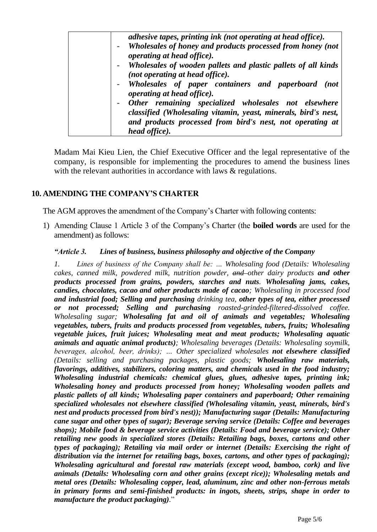| adhesive tapes, printing ink (not operating at head office).                       |
|------------------------------------------------------------------------------------|
|                                                                                    |
| - Wholesales of honey and products processed from honey (not                       |
| operating at head office).                                                         |
| - Wholesales of wooden pallets and plastic pallets of all kinds                    |
| (not operating at head office).                                                    |
| - Wholesales of paper containers and paperboard (not<br>operating at head office). |
| - Other remaining specialized wholesales not elsewhere                             |
|                                                                                    |
| classified (Wholesaling vitamin, yeast, minerals, bird's nest,                     |
| and products processed from bird's nest, not operating at                          |
| <i>head office</i> ).                                                              |

Madam Mai Kieu Lien, the Chief Executive Officer and the legal representative of the company, is responsible for implementing the procedures to amend the business lines with the relevant authorities in accordance with laws & regulations.

### **10. AMENDING THE COMPANY'S CHARTER**

The AGM approves the amendment of the Company's Charter with following contents:

1) Amending Clause 1 Article 3 of the Company's Charter (the **boiled words** are used for the amendment) as follows:

#### *"Article 3. Lines of business, business philosophy and objective of the Company*

*1. Lines of business of the Company shall be: … Wholesaling food (Details: Wholesaling cakes, canned milk, powdered milk, nutrition powder, and other dairy products and other products processed from grains, powders, starches and nuts. Wholesaling jams, cakes, candies, chocolates, cacao and other products made of cacao; Wholesaling in processed food and industrial food; Selling and purchasing drinking tea, other types of tea, either processed or not processed; Selling and purchasing roasted-grinded-filtered-dissolved coffee. Wholesaling sugar; Wholesaling fat and oil of animals and vegetables; Wholesaling vegetables, tubers, fruits and products processed from vegetables, tubers, fruits; Wholesaling vegetable juices, fruit juices; Wholesaling meat and meat products; Wholesaling aquatic animals and aquatic animal products); Wholesaling beverages (Details: Wholesaling soymilk, beverages, alcohol, beer, drinks); … Other specialized wholesales not elsewhere classified (Details: selling and purchasing packages, plastic goods; Wholesaling raw materials, flavorings, additives, stabilizers, coloring matters, and chemicals used in the food industry; Wholesaling industrial chemicals: chemical glues, glues, adhesive tapes, printing ink; Wholesaling honey and products processed from honey; Wholesaling wooden pallets and plastic pallets of all kinds; Wholesaling paper containers and paperboard; Other remaining specialized wholesales not elsewhere classified (Wholesaling vitamin, yeast, minerals, bird's nest and products processed from bird's nest)); Manufacturing sugar (Details: Manufacturing cane sugar and other types of sugar); Beverage serving service (Details: Coffee and beverages shops); Mobile food & beverage service activities (Details: Food and beverage service); Other retailing new goods in specialized stores (Details: Retailing bags, boxes, cartons and other types of packaging); Retailing via mail order or internet (Details: Exercising the right of distribution via the internet for retailing bags, boxes, cartons, and other types of packaging); Wholesaling agricultural and forestal raw materials (except wood, bamboo, cork) and live animals (Details: Wholesaling corn and other grains (except rice)); Wholesaling metals and metal ores (Details: Wholesaling copper, lead, aluminum, zinc and other non-ferrous metals in primary forms and semi-finished products: in ingots, sheets, strips, shape in order to manufacture the product packaging).*"